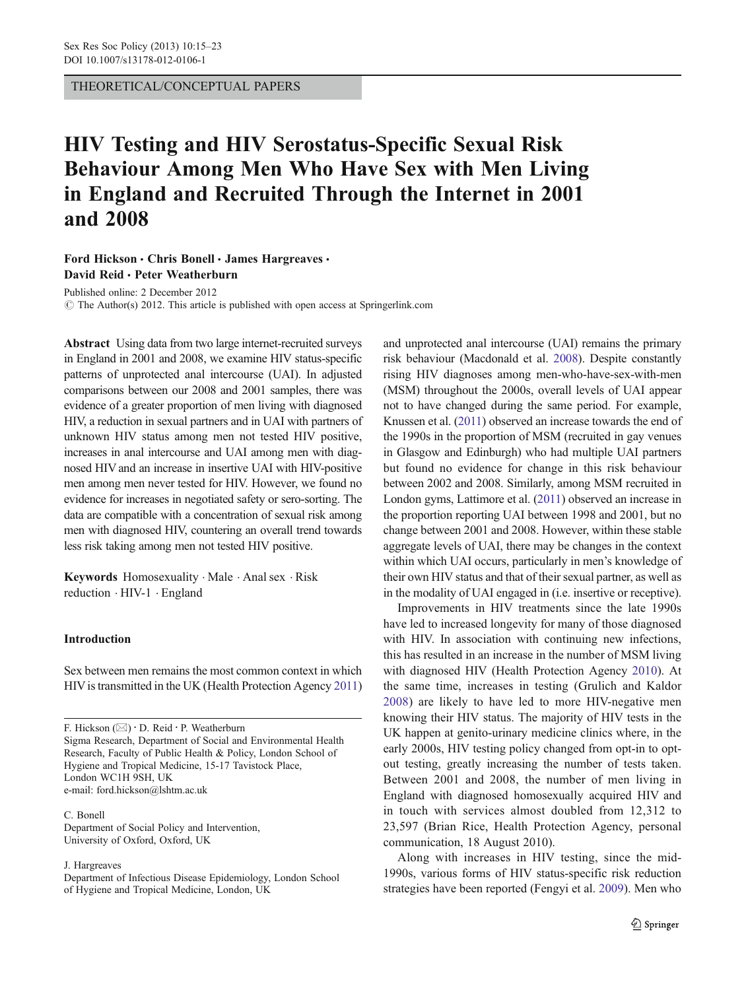THEORETICAL/CONCEPTUAL PAPERS

# HIV Testing and HIV Serostatus-Specific Sexual Risk Behaviour Among Men Who Have Sex with Men Living in England and Recruited Through the Internet in 2001 and 2008

# Ford Hickson · Chris Bonell · James Hargreaves · David Reid · Peter Weatherburn

Published online: 2 December 2012  $\odot$  The Author(s) 2012. This article is published with open access at Springerlink.com

Abstract Using data from two large internet-recruited surveys in England in 2001 and 2008, we examine HIV status-specific patterns of unprotected anal intercourse (UAI). In adjusted comparisons between our 2008 and 2001 samples, there was evidence of a greater proportion of men living with diagnosed HIV, a reduction in sexual partners and in UAI with partners of unknown HIV status among men not tested HIV positive, increases in anal intercourse and UAI among men with diagnosed HIV and an increase in insertive UAI with HIV-positive men among men never tested for HIV. However, we found no evidence for increases in negotiated safety or sero-sorting. The data are compatible with a concentration of sexual risk among men with diagnosed HIV, countering an overall trend towards less risk taking among men not tested HIV positive.

Keywords Homosexuality . Male . Anal sex . Risk reduction . HIV-1 . England

## Introduction

Sex between men remains the most common context in which HIVis transmitted in the UK (Health Protection Agency [2011\)](#page-7-0)

F. Hickson  $(\boxtimes) \cdot$  D. Reid  $\cdot$  P. Weatherburn

C. Bonell Department of Social Policy and Intervention, University of Oxford, Oxford, UK

J. Hargreaves

Department of Infectious Disease Epidemiology, London School of Hygiene and Tropical Medicine, London, UK

and unprotected anal intercourse (UAI) remains the primary risk behaviour (Macdonald et al. [2008\)](#page-7-0). Despite constantly rising HIV diagnoses among men-who-have-sex-with-men (MSM) throughout the 2000s, overall levels of UAI appear not to have changed during the same period. For example, Knussen et al. ([2011](#page-7-0)) observed an increase towards the end of the 1990s in the proportion of MSM (recruited in gay venues in Glasgow and Edinburgh) who had multiple UAI partners but found no evidence for change in this risk behaviour between 2002 and 2008. Similarly, among MSM recruited in London gyms, Lattimore et al. [\(2011](#page-7-0)) observed an increase in the proportion reporting UAI between 1998 and 2001, but no change between 2001 and 2008. However, within these stable aggregate levels of UAI, there may be changes in the context within which UAI occurs, particularly in men's knowledge of their own HIV status and that of their sexual partner, as well as in the modality of UAI engaged in (i.e. insertive or receptive).

Improvements in HIV treatments since the late 1990s have led to increased longevity for many of those diagnosed with HIV. In association with continuing new infections, this has resulted in an increase in the number of MSM living with diagnosed HIV (Health Protection Agency [2010\)](#page-7-0). At the same time, increases in testing (Grulich and Kaldor [2008](#page-7-0)) are likely to have led to more HIV-negative men knowing their HIV status. The majority of HIV tests in the UK happen at genito-urinary medicine clinics where, in the early 2000s, HIV testing policy changed from opt-in to optout testing, greatly increasing the number of tests taken. Between 2001 and 2008, the number of men living in England with diagnosed homosexually acquired HIV and in touch with services almost doubled from 12,312 to 23,597 (Brian Rice, Health Protection Agency, personal communication, 18 August 2010).

Along with increases in HIV testing, since the mid-1990s, various forms of HIV status-specific risk reduction strategies have been reported (Fengyi et al. [2009](#page-7-0)). Men who

Sigma Research, Department of Social and Environmental Health Research, Faculty of Public Health & Policy, London School of Hygiene and Tropical Medicine, 15-17 Tavistock Place, London WC1H 9SH, UK e-mail: ford.hickson@lshtm.ac.uk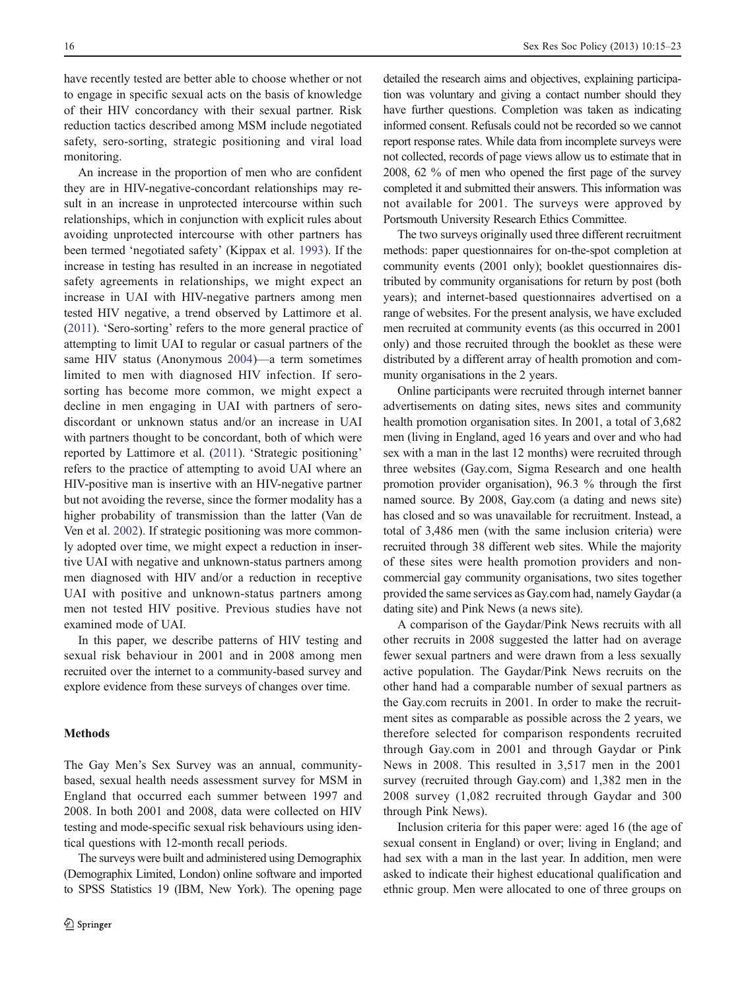have recently tested are better able to choose whether or not to engage in specific sexual acts on the basis of knowledge of their HIV concordancy with their sexual partner. Risk reduction tactics described among MSM include negotiated safety, sero-sorting, strategic positioning and viral load monitoring.

An increase in the proportion of men who are confident they are in HIV-negative-concordant relationships may result in an increase in unprotected intercourse within such relationships, which in conjunction with explicit rules about avoiding unprotected intercourse with other partners has been termed 'negotiated safety' (Kippax et al. [1993\)](#page-7-0). If the increase in testing has resulted in an increase in negotiated safety agreements in relationships, we might expect an increase in UAI with HIV-negative partners among men tested HIV negative, a trend observed by Lattimore et al. [\(2011\)](#page-7-0). 'Sero-sorting' refers to the more general practice of attempting to limit UAI to regular or casual partners of the same HIV status (Anonymous [2004\)](#page-7-0)—a term sometimes limited to men with diagnosed HIV infection. If serosorting has become more common, we might expect a decline in men engaging in UAI with partners of serodiscordant or unknown status and/or an increase in UAI with partners thought to be concordant, both of which were reported by Lattimore et al. ([2011](#page-7-0)). 'Strategic positioning' refers to the practice of attempting to avoid UAI where an HIV-positive man is insertive with an HIV-negative partner but not avoiding the reverse, since the former modality has a higher probability of transmission than the latter (Van de Ven et al. [2002\)](#page-8-0). If strategic positioning was more commonly adopted over time, we might expect a reduction in insertive UAI with negative and unknown-status partners among men diagnosed with HIV and/or a reduction in receptive UAI with positive and unknown-status partners among men not tested HIV positive. Previous studies have not examined mode of UAI.

In this paper, we describe patterns of HIV testing and sexual risk behaviour in 2001 and in 2008 among men recruited over the internet to a community-based survey and explore evidence from these surveys of changes over time.

## **Methods**

The Gay Men's Sex Survey was an annual, communitybased, sexual health needs assessment survey for MSM in England that occurred each summer between 1997 and 2008. In both 2001 and 2008, data were collected on HIV testing and mode-specific sexual risk behaviours using identical questions with 12-month recall periods.

The surveys were built and administered using Demographix (Demographix Limited, London) online software and imported to SPSS Statistics 19 (IBM, New York). The opening page detailed the research aims and objectives, explaining participation was voluntary and giving a contact number should they have further questions. Completion was taken as indicating informed consent. Refusals could not be recorded so we cannot report response rates. While data from incomplete surveys were not collected, records of page views allow us to estimate that in 2008, 62 % of men who opened the first page of the survey completed it and submitted their answers. This information was not available for 2001. The surveys were approved by Portsmouth University Research Ethics Committee.

The two surveys originally used three different recruitment methods: paper questionnaires for on-the-spot completion at community events (2001 only); booklet questionnaires distributed by community organisations for return by post (both years); and internet-based questionnaires advertised on a range of websites. For the present analysis, we have excluded men recruited at community events (as this occurred in 2001 only) and those recruited through the booklet as these were distributed by a different array of health promotion and community organisations in the 2 years.

Online participants were recruited through internet banner advertisements on dating sites, news sites and community health promotion organisation sites. In 2001, a total of 3,682 men (living in England, aged 16 years and over and who had sex with a man in the last 12 months) were recruited through three websites (Gay.com, Sigma Research and one health promotion provider organisation), 96.3 % through the first named source. By 2008, Gay.com (a dating and news site) has closed and so was unavailable for recruitment. Instead, a total of 3,486 men (with the same inclusion criteria) were recruited through 38 different web sites. While the majority of these sites were health promotion providers and noncommercial gay community organisations, two sites together provided the same services as Gay.com had, namely Gaydar (a dating site) and Pink News (a news site).

A comparison of the Gaydar/Pink News recruits with all other recruits in 2008 suggested the latter had on average fewer sexual partners and were drawn from a less sexually active population. The Gaydar/Pink News recruits on the other hand had a comparable number of sexual partners as the Gay.com recruits in 2001. In order to make the recruitment sites as comparable as possible across the 2 years, we therefore selected for comparison respondents recruited through Gay.com in 2001 and through Gaydar or Pink News in 2008. This resulted in 3,517 men in the 2001 survey (recruited through Gay.com) and 1,382 men in the 2008 survey (1,082 recruited through Gaydar and 300 through Pink News).

Inclusion criteria for this paper were: aged 16 (the age of sexual consent in England) or over; living in England; and had sex with a man in the last year. In addition, men were asked to indicate their highest educational qualification and ethnic group. Men were allocated to one of three groups on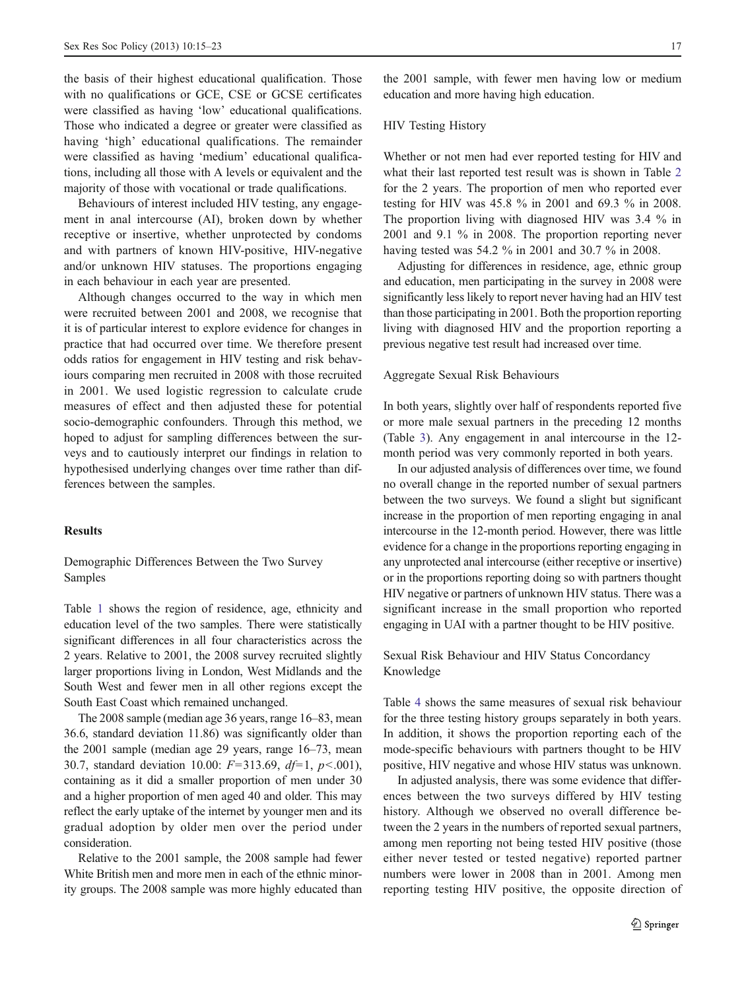the basis of their highest educational qualification. Those with no qualifications or GCE, CSE or GCSE certificates were classified as having 'low' educational qualifications. Those who indicated a degree or greater were classified as having 'high' educational qualifications. The remainder were classified as having 'medium' educational qualifications, including all those with A levels or equivalent and the majority of those with vocational or trade qualifications.

Behaviours of interest included HIV testing, any engagement in anal intercourse (AI), broken down by whether receptive or insertive, whether unprotected by condoms and with partners of known HIV-positive, HIV-negative and/or unknown HIV statuses. The proportions engaging in each behaviour in each year are presented.

Although changes occurred to the way in which men were recruited between 2001 and 2008, we recognise that it is of particular interest to explore evidence for changes in practice that had occurred over time. We therefore present odds ratios for engagement in HIV testing and risk behaviours comparing men recruited in 2008 with those recruited in 2001. We used logistic regression to calculate crude measures of effect and then adjusted these for potential socio-demographic confounders. Through this method, we hoped to adjust for sampling differences between the surveys and to cautiously interpret our findings in relation to hypothesised underlying changes over time rather than differences between the samples.

## **Results**

Demographic Differences Between the Two Survey Samples

Table [1](#page-3-0) shows the region of residence, age, ethnicity and education level of the two samples. There were statistically significant differences in all four characteristics across the 2 years. Relative to 2001, the 2008 survey recruited slightly larger proportions living in London, West Midlands and the South West and fewer men in all other regions except the South East Coast which remained unchanged.

The 2008 sample (median age 36 years, range 16–83, mean 36.6, standard deviation 11.86) was significantly older than the 2001 sample (median age 29 years, range 16–73, mean 30.7, standard deviation 10.00:  $F=313.69$ ,  $df=1$ ,  $p<.001$ ), containing as it did a smaller proportion of men under 30 and a higher proportion of men aged 40 and older. This may reflect the early uptake of the internet by younger men and its gradual adoption by older men over the period under consideration.

Relative to the 2001 sample, the 2008 sample had fewer White British men and more men in each of the ethnic minority groups. The 2008 sample was more highly educated than

the 2001 sample, with fewer men having low or medium education and more having high education.

## HIV Testing History

Whether or not men had ever reported testing for HIV and what their last reported test result was is shown in Table [2](#page-3-0) for the 2 years. The proportion of men who reported ever testing for HIV was 45.8 % in 2001 and 69.3 % in 2008. The proportion living with diagnosed HIV was 3.4 % in 2001 and 9.1 % in 2008. The proportion reporting never having tested was 54.2 % in 2001 and 30.7 % in 2008.

Adjusting for differences in residence, age, ethnic group and education, men participating in the survey in 2008 were significantly less likely to report never having had an HIV test than those participating in 2001. Both the proportion reporting living with diagnosed HIV and the proportion reporting a previous negative test result had increased over time.

### Aggregate Sexual Risk Behaviours

In both years, slightly over half of respondents reported five or more male sexual partners in the preceding 12 months (Table [3](#page-4-0)). Any engagement in anal intercourse in the 12 month period was very commonly reported in both years.

In our adjusted analysis of differences over time, we found no overall change in the reported number of sexual partners between the two surveys. We found a slight but significant increase in the proportion of men reporting engaging in anal intercourse in the 12-month period. However, there was little evidence for a change in the proportions reporting engaging in any unprotected anal intercourse (either receptive or insertive) or in the proportions reporting doing so with partners thought HIV negative or partners of unknown HIV status. There was a significant increase in the small proportion who reported engaging in UAI with a partner thought to be HIV positive.

# Sexual Risk Behaviour and HIV Status Concordancy Knowledge

Table [4](#page-5-0) shows the same measures of sexual risk behaviour for the three testing history groups separately in both years. In addition, it shows the proportion reporting each of the mode-specific behaviours with partners thought to be HIV positive, HIV negative and whose HIV status was unknown.

In adjusted analysis, there was some evidence that differences between the two surveys differed by HIV testing history. Although we observed no overall difference between the 2 years in the numbers of reported sexual partners, among men reporting not being tested HIV positive (those either never tested or tested negative) reported partner numbers were lower in 2008 than in 2001. Among men reporting testing HIV positive, the opposite direction of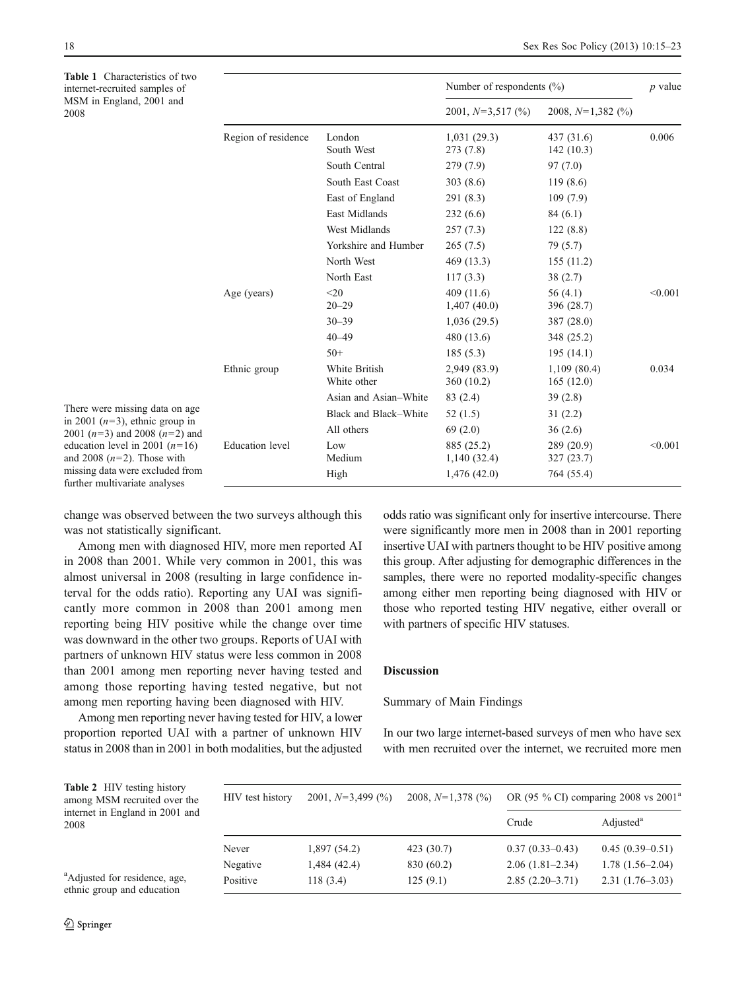<span id="page-3-0"></span>Table 1 Characteristics of two internet-recruited samples of MSM in England, 2001 and 2008

|                        |                              | Number of respondents $(\% )$ |                          | $p$ value |
|------------------------|------------------------------|-------------------------------|--------------------------|-----------|
|                        |                              | 2001, $N=3,517$ (%)           | 2008, $N=1,382$ (%)      |           |
| Region of residence    | London<br>South West         | 1,031(29.3)<br>273 (7.8)      | 437 (31.6)<br>142(10.3)  | 0.006     |
|                        | South Central                | 279 (7.9)                     | 97 (7.0)                 |           |
|                        | South East Coast             | 303(8.6)                      | 119(8.6)                 |           |
|                        | East of England              | 291 (8.3)                     | 109(7.9)                 |           |
|                        | East Midlands                | 232(6.6)                      | 84 (6.1)                 |           |
|                        | West Midlands                | 257(7.3)                      | 122(8.8)                 |           |
|                        | Yorkshire and Humber         | 265(7.5)                      | 79 (5.7)                 |           |
|                        | North West                   | 469 (13.3)                    | 155(11.2)                |           |
|                        | North East                   | 117(3.3)                      | 38(2.7)                  |           |
| Age (years)            | $<$ 20<br>$20 - 29$          | 409 (11.6)<br>1,407(40.0)     | 56 $(4.1)$<br>396 (28.7) | < 0.001   |
|                        | $30 - 39$                    | 1,036(29.5)                   | 387 (28.0)               |           |
|                        | $40 - 49$                    | 480 (13.6)                    | 348 (25.2)               |           |
|                        | $50+$                        | 185(5.3)                      | 195(14.1)                |           |
| Ethnic group           | White British<br>White other | 2,949 (83.9)<br>360 (10.2)    | 1,109(80.4)<br>165(12.0) | 0.034     |
|                        | Asian and Asian–White        | 83 (2.4)                      | 39(2.8)                  |           |
|                        | Black and Black-White        | 52 (1.5)                      | 31(2.2)                  |           |
|                        | All others                   | 69(2.0)                       | 36(2.6)                  |           |
| <b>Education</b> level | Low<br>Medium                | 885 (25.2)<br>1,140(32.4)     | 289 (20.9)<br>327 (23.7) | < 0.001   |
|                        | High                         | 1,476 (42.0)                  | 764 (55.4)               |           |

There were missing data on age in 2001 ( $n=3$ ), ethnic group in 2001 ( $n=3$ ) and 2008 ( $n=2$ ) and education level in 2001 ( $n=16$ ) and 2008  $(n=2)$ . Those with missing data were excluded from further multivariate analyses

change was observed between the two surveys although this was not statistically significant.

Among men with diagnosed HIV, more men reported AI in 2008 than 2001. While very common in 2001, this was almost universal in 2008 (resulting in large confidence interval for the odds ratio). Reporting any UAI was significantly more common in 2008 than 2001 among men reporting being HIV positive while the change over time was downward in the other two groups. Reports of UAI with partners of unknown HIV status were less common in 2008 than 2001 among men reporting never having tested and among those reporting having tested negative, but not among men reporting having been diagnosed with HIV.

Among men reporting never having tested for HIV, a lower proportion reported UAI with a partner of unknown HIV status in 2008 than in 2001 in both modalities, but the adjusted odds ratio was significant only for insertive intercourse. There were significantly more men in 2008 than in 2001 reporting insertive UAI with partners thought to be HIV positive among this group. After adjusting for demographic differences in the samples, there were no reported modality-specific changes among either men reporting being diagnosed with HIV or those who reported testing HIV negative, either overall or with partners of specific HIV statuses.

# Discussion

#### Summary of Main Findings

Positive 118 (3.4) 125 (9.1) 2.85 (2.20–3.71) 2.31 (1.76–3.03)

In our two large internet-based surveys of men who have sex with men recruited over the internet, we recruited more men

| <b>Table 2</b> HIV testing history<br>among MSM recruited over the | HIV test history | 2001, $N=3,499$ (%) | 2008, $N=1,378$ (%) |                     | OR (95 % CI) comparing 2008 vs 2001 <sup>a</sup> |
|--------------------------------------------------------------------|------------------|---------------------|---------------------|---------------------|--------------------------------------------------|
| internet in England in 2001 and<br>2008                            |                  |                     |                     | Crude               | Adjusted <sup>a</sup>                            |
|                                                                    | Never            | 1,897(54.2)         | 423(30.7)           | $0.37(0.33 - 0.43)$ | $0.45(0.39-0.51)$                                |
|                                                                    | Negative         | 1.484 (42.4)        | 830 (60.2)          | $2.06(1.81-2.34)$   | 1.78 (1.56–2.04)                                 |

<sup>a</sup>Adjusted for residence, age, ethnic group and education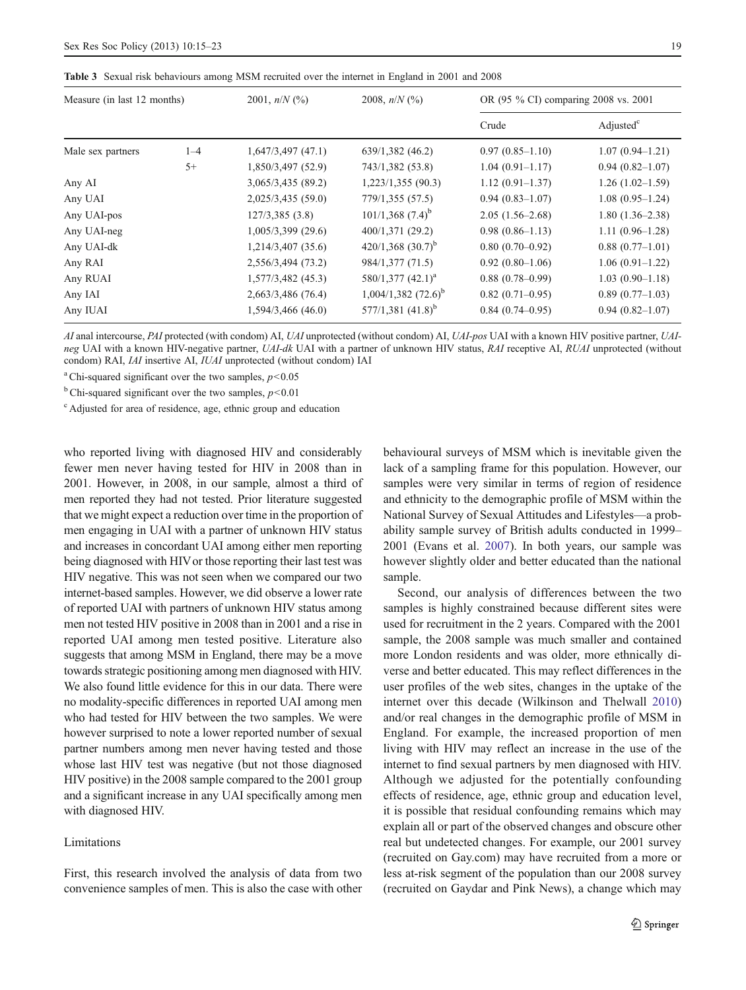<span id="page-4-0"></span>

|  |  |  | <b>Table 3</b> Sexual risk behaviours among MSM recruited over the internet in England in 2001 and 2008 |
|--|--|--|---------------------------------------------------------------------------------------------------------|
|--|--|--|---------------------------------------------------------------------------------------------------------|

| Measure (in last 12 months) |         | 2001, $n/N$ (%)      | 2008, $n/N$ (%)                   | OR (95 % CI) comparing 2008 vs. 2001 |                       |
|-----------------------------|---------|----------------------|-----------------------------------|--------------------------------------|-----------------------|
|                             |         |                      |                                   | Crude                                | Adjusted <sup>c</sup> |
| Male sex partners           | $1 - 4$ | 1,647/3,497(47.1)    | 639/1,382 (46.2)                  | $0.97(0.85 - 1.10)$                  | $1.07(0.94 - 1.21)$   |
|                             | $5+$    | 1,850/3,497 (52.9)   | 743/1,382 (53.8)                  | $1.04(0.91-1.17)$                    | $0.94(0.82 - 1.07)$   |
| Any AI                      |         | 3,065/3,435 (89.2)   | 1,223/1,355(90.3)                 | $1.12(0.91-1.37)$                    | $1.26(1.02-1.59)$     |
| Any UAI                     |         | 2,025/3,435 (59.0)   | 779/1,355 (57.5)                  | $0.94(0.83 - 1.07)$                  | $1.08(0.95-1.24)$     |
| Any UAI-pos                 |         | 127/3,385(3.8)       | $101/1,368$ $(7.4)^{b}$           | $2.05(1.56-2.68)$                    | $1.80(1.36-2.38)$     |
| Any UAI-neg                 |         | 1,005/3,399(29.6)    | 400/1,371 (29.2)                  | $0.98(0.86 - 1.13)$                  | $1.11(0.96-1.28)$     |
| Any UAI-dk                  |         | 1,214/3,407(35.6)    | $420/1,368$ $(30.7)^{b}$          | $0.80(0.70-0.92)$                    | $0.88(0.77-1.01)$     |
| Any RAI                     |         | 2,556/3,494 (73.2)   | 984/1,377 (71.5)                  | $0.92(0.80-1.06)$                    | $1.06(0.91-1.22)$     |
| Any RUAI                    |         | $1,577/3,482$ (45.3) | $580/1,377$ $(42.1)^a$            | $0.88(0.78-0.99)$                    | $1.03(0.90-1.18)$     |
| Any IAI                     |         | 2,663/3,486 (76.4)   | $1,004/1,382$ (72.6) <sup>b</sup> | $0.82(0.71-0.95)$                    | $0.89(0.77-1.03)$     |
| Any IUAI                    |         | 1,594/3,466 (46.0)   | 577/1,381 $(41.8)^{b}$            | $0.84(0.74 - 0.95)$                  | $0.94(0.82 - 1.07)$   |

AI anal intercourse, PAI protected (with condom) AI, UAI unprotected (without condom) AI, UAI-pos UAI with a known HIV positive partner, UAIneg UAI with a known HIV-negative partner, UAI-dk UAI with a partner of unknown HIV status, RAI receptive AI, RUAI unprotected (without condom) RAI, IAI insertive AI, IUAI unprotected (without condom) IAI

<sup>a</sup>Chi-squared significant over the two samples,  $p < 0.05$ 

<sup>b</sup>Chi-squared significant over the two samples,  $p < 0.01$ 

c Adjusted for area of residence, age, ethnic group and education

who reported living with diagnosed HIV and considerably fewer men never having tested for HIV in 2008 than in 2001. However, in 2008, in our sample, almost a third of men reported they had not tested. Prior literature suggested that we might expect a reduction over time in the proportion of men engaging in UAI with a partner of unknown HIV status and increases in concordant UAI among either men reporting being diagnosed with HIVor those reporting their last test was HIV negative. This was not seen when we compared our two internet-based samples. However, we did observe a lower rate of reported UAI with partners of unknown HIV status among men not tested HIV positive in 2008 than in 2001 and a rise in reported UAI among men tested positive. Literature also suggests that among MSM in England, there may be a move towards strategic positioning among men diagnosed with HIV. We also found little evidence for this in our data. There were no modality-specific differences in reported UAI among men who had tested for HIV between the two samples. We were however surprised to note a lower reported number of sexual partner numbers among men never having tested and those whose last HIV test was negative (but not those diagnosed HIV positive) in the 2008 sample compared to the 2001 group and a significant increase in any UAI specifically among men with diagnosed HIV.

# Limitations

First, this research involved the analysis of data from two convenience samples of men. This is also the case with other behavioural surveys of MSM which is inevitable given the lack of a sampling frame for this population. However, our samples were very similar in terms of region of residence and ethnicity to the demographic profile of MSM within the National Survey of Sexual Attitudes and Lifestyles—a probability sample survey of British adults conducted in 1999– 2001 (Evans et al. [2007](#page-7-0)). In both years, our sample was however slightly older and better educated than the national sample.

Second, our analysis of differences between the two samples is highly constrained because different sites were used for recruitment in the 2 years. Compared with the 2001 sample, the 2008 sample was much smaller and contained more London residents and was older, more ethnically diverse and better educated. This may reflect differences in the user profiles of the web sites, changes in the uptake of the internet over this decade (Wilkinson and Thelwall [2010](#page-8-0)) and/or real changes in the demographic profile of MSM in England. For example, the increased proportion of men living with HIV may reflect an increase in the use of the internet to find sexual partners by men diagnosed with HIV. Although we adjusted for the potentially confounding effects of residence, age, ethnic group and education level, it is possible that residual confounding remains which may explain all or part of the observed changes and obscure other real but undetected changes. For example, our 2001 survey (recruited on Gay.com) may have recruited from a more or less at-risk segment of the population than our 2008 survey (recruited on Gaydar and Pink News), a change which may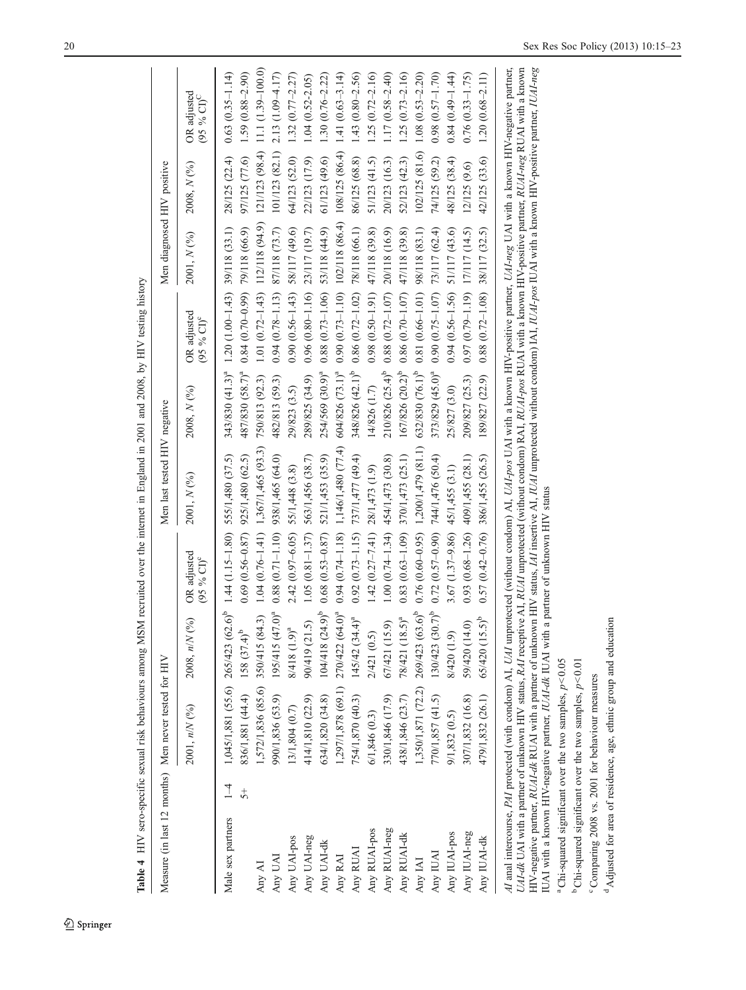| ţ                   |
|---------------------|
|                     |
| $\overline{a}$<br>i |
|                     |
| $\frac{1}{2}$       |
|                     |
| č<br>l              |
| l                   |
|                     |
|                     |
|                     |
| i<br>ł              |
| I                   |
|                     |
|                     |
|                     |
|                     |
| $-701$              |
| j                   |
| ş                   |
| į                   |
|                     |
| amon:               |
| <b>.</b>            |
|                     |
|                     |
|                     |
|                     |
|                     |
| <u>ي</u>            |
|                     |
|                     |
|                     |
| Ì                   |
|                     |
| ă<br>E              |

<span id="page-5-0"></span>

| Measure (in last 12 months) Men never tested for HIV                                                                                                                                    |                                               |                                                |                                         | Men last tested HIV negative            |                             |                                                            | Men diagnosed HIV positive |                |                                     |
|-----------------------------------------------------------------------------------------------------------------------------------------------------------------------------------------|-----------------------------------------------|------------------------------------------------|-----------------------------------------|-----------------------------------------|-----------------------------|------------------------------------------------------------|----------------------------|----------------|-------------------------------------|
|                                                                                                                                                                                         | $2001, n/N$ (%)                               | 2008, n/N (%)                                  | OR adjusted<br>$(95\%$ CI) <sup>c</sup> | 2001, N (%)                             | 2008, N (%)                 | OR adjusted<br>$(95 % CI)^c$                               | 2001, N (%)                | 2008, N (%)    | OR adjusted<br>$(95\% \text{CI})^C$ |
| $\overline{A}$<br>Male sex partners                                                                                                                                                     |                                               | 1,045/1,881 (55.6) 265/423 (62.6) <sup>b</sup> | $1.44$ (1.15-1.80) 555/1,480 (37.5)     |                                         |                             | 343/830 (41.3) <sup>a</sup> 1.20 (1.00-1.43) 39/118 (33.1) |                            | 28/125 (22.4)  | $0.63(0.35 - 1.14)$                 |
| $\frac{1}{2}$                                                                                                                                                                           | $836/1,881(44.4)$ 158 $(37.4)^b$              |                                                |                                         | $0.69(0.56 - 0.87)$ $925/1,480(62.5)$   | 487/830 (58.7) <sup>a</sup> | $0.84(0.70-0.99)$ 79/118 (66.9)                            |                            | 97/125 (77.6)  | $1.59(0.88 - 2.90)$                 |
| Any AI                                                                                                                                                                                  | ,572/1,836 (85.6) 350/415 (84                 | $\widehat{\cdot}$                              |                                         | $1.04(0.76-1.41)$ 1,367/1,465(93.3)     | 750/813 (92.3)              | $1.01(0.72-1.43)$ $112/118(94.9)$                          |                            | 121/123 (98.4) | 11.1 $(1.39-100.0)$                 |
| Any UAI                                                                                                                                                                                 | $990/1,836(53.9)$ 195/415 (47.0) <sup>a</sup> |                                                |                                         | $(0.88(0.71 - 1.10) 938/1,465(64.0))$   | 482/813 (59.3)              | $0.94(0.78-1.13)$ 87/118 (73.7)                            |                            | 101/123 (82.1) | 2.13 (1.09-4.17)                    |
| Any UAI-pos                                                                                                                                                                             | 13/1,804 (0.7)                                | 8/418 (1.9) <sup>a</sup>                       | $2.42(0.97 - 6.05)$ 55/1,448 (3.8)      |                                         | 29/823 (3.5)                | $0.90(0.56 - 1.43)$ $58/117(49.6)$                         |                            | 64/123 (52.0)  | $1.32(0.77 - 2.27)$                 |
| Any UAI-neg                                                                                                                                                                             | 414/1,810 (22.9)                              | 90/419 (21.5)                                  | $1.05(0.81 - 1.37)$                     | 563/1,456 (38.7)                        | 289/825 (34.9)              | $0.96$ $(0.80-1.16)$ 23/117 $(19.7)$                       |                            | 22/123 (17.9)  | $1.04(0.52 - 2.05)$                 |
| Any UAI-dk                                                                                                                                                                              | 634/1,820 (34.8)                              | $\left(6\right)$<br>104/418 (24                | $0.68(0.53 - 0.87)$                     | 521/1,453 (35.9)                        | 254/569 (30.9) <sup>a</sup> | $0.88$ $(0.73-1.06)$ 53/118 $(44.9)$                       |                            | 61/123 (49.6)  | $1.30(0.76 - 2.22)$                 |
| Any RAI                                                                                                                                                                                 |                                               | 1,297/1,878 (69.1) 270/422 (64.0) <sup>a</sup> |                                         | $(0.94(0.74 - 1.18) 1,146/1,480(77.4))$ | 604/826 (73.1) <sup>a</sup> | $0.90(0.73 - 1.10)$ 102/118 (86.4)                         |                            | 108/125 (86.4) | $1.41(0.63 - 3.14)$                 |
| Any RUAI                                                                                                                                                                                | 754/1,870 (40.3)                              | $145/42(34.4)^a$                               |                                         | $0.92(0.73 - 1.15)$ 737/1,477 (49.4)    | 348/826 (42.1) <sup>b</sup> | $0.86(0.72-1.02)$ 78/118 (66.1)                            |                            | 86/125 (68.8)  | $1.43(0.80 - 2.56)$                 |
| Any RUAI-pos                                                                                                                                                                            | 6/1,846(0.3)                                  | 2/421 (0.5)                                    | $1.42(0.27 - 7.41)$                     | 28/1,473 (1.9)                          | 14/826 (1.7)                | $0.98(0.50 - 1.91)$                                        | 47/118 (39.8)              | 51/123 (41.5)  | $.25(0.72 - 2.16)$                  |
| Any RUAI-neg                                                                                                                                                                            | 330/1,846 (17.9)                              | 67/421 (15.9)                                  |                                         | $1.00(0.74 - 1.34)$ 454/1,473 (30.8)    | 210/826 (25.4) <sup>b</sup> | $0.88$ (0.72-1.07) 20/118 (16.9)                           |                            | 20/123 (16.3)  | $1.17(0.58 - 2.40)$                 |
| Any RUAI-dk                                                                                                                                                                             | 438/1,846 (23.7)                              | 78/421 (18.5) <sup>a</sup>                     |                                         | $0.83(0.63 - 1.09)$ 370/1,473 (25.1)    | 167/826 (20.2) <sup>b</sup> | $0.86(0.70 - 1.07)$                                        | 47/118 (39.8)              | 52/123 (42.3)  | $1.25(0.73 - 2.16)$                 |
| Any IAI                                                                                                                                                                                 | ,350/1,871 (72.2) 269/423 (63                 | $\phi^{\rm b}$                                 | $0.76(0.60 - 0.95)$                     | 1,200/1,479 (81.1)                      | 632/830 (76.1) <sup>p</sup> | $0.81(0.66 - 1.01)$                                        | 98/118 (83.1)              | 102/125 (81.6) | $1.08(0.53 - 2.20)$                 |
| Any IUAI                                                                                                                                                                                |                                               | $770/1,857(41.5)$ 130/423 (30.7) <sup>b</sup>  |                                         | $0.72(0.57-0.90)$ 744/1,476 (50.4)      | 373/829 (45.0) <sup>a</sup> | $0.90(0.75 - 1.07)$ 73/117 (62.4)                          |                            | 74/125 (59.2)  | $0.98(0.57 - 1.70)$                 |
| Any IUAI-pos                                                                                                                                                                            | 9/1,832(0.5)                                  | 8/420 (1.9)                                    | $3.67(1.37-9.86)$ $45/1,455(3.1)$       |                                         | 25/827 (3.0)                | $0.94(0.56-1.56)$ 51/117 (43.6)                            |                            | 48/125 (38.4)  | $0.84(0.49 - 1.44)$                 |
| Any IUAI-neg                                                                                                                                                                            | 307/1,832 (16.8)                              | 59/420 (14.0)                                  |                                         | $0.93(0.68 - 1.26)$ 409/1,455 (28.1)    | 209/827 (25.3)              | $0.97(0.79 - 1.19)$ 17/117 (14.5)                          |                            | 12/125 (9.6)   | $0.76(0.33 - 1.75)$                 |
| Any IUAI-dk                                                                                                                                                                             | 479/1,832 (26.1)                              | 65/420 (15.5) <sup>b</sup>                     |                                         | $0.57(0.42 - 0.76)$ 386/1,455 (26.5)    | 189/827 (22.9)              | $0.88$ (0.72-1.08) 38/117 (32.5)                           |                            | 42/125 (33.6)  | $1.20(0.68 - 2.11)$                 |
| AI anal intercourse, PAI protected (with condom) AI, UAI unprotected (without condom) AI, UAI-pos UAI with a known HIV-positive partner, UAI-neg UAI with a known HIV-negative partner, |                                               |                                                |                                         |                                         |                             |                                                            |                            |                |                                     |

UAL-dk UAI with a partner of unknown HIV status, RAI receptive AI, RUAI unprotected (without condom) RAI, RUAI-pos RUAI with a known HIV-positive partner, RUAI-neg RUAI with a known<br>HIV-negative partner, RUAI-dk RUAI with UAI-dk UAI with a partner of unknown HIV status, RAI receptive AI, RUAI unprotected (without condom) RAI, RUAI-pos RUAI with a known HIV-positive partner, RUAI-neg RUAI with a known HIV-negative partner, RUAI-dk RUAI with a partner of unknown HIV status, *IAI* insertive A1, *IUAI* unprotected without condom) IAI, *IUAI-pos* IUAI with a known HIV-positive partner, *IUAI-neg* IUAI with a known HIV-negative partner, IUAI-dk IUAI with a partner of unknown HIV status

<sup>a</sup> Chi-squared significant over the two samples,  $p$ <0.05 <sup>a</sup>Chi-squared significant over the two samples,  $p < 0.05$ 

 $b$  Chi-squared significant over the two samples,  $p$ <0.01  $b$ Chi-squared significant over the two samples,  $p < 0.01$ 

<sup>°</sup>Comparing 2008 vs. 2001 for behaviour measures cComparing 2008 vs. 2001 for behaviour measures

<sup>d</sup> Adjusted for area of residence, age, ethnic group and education Adjusted for area of residence, age, ethnic group and education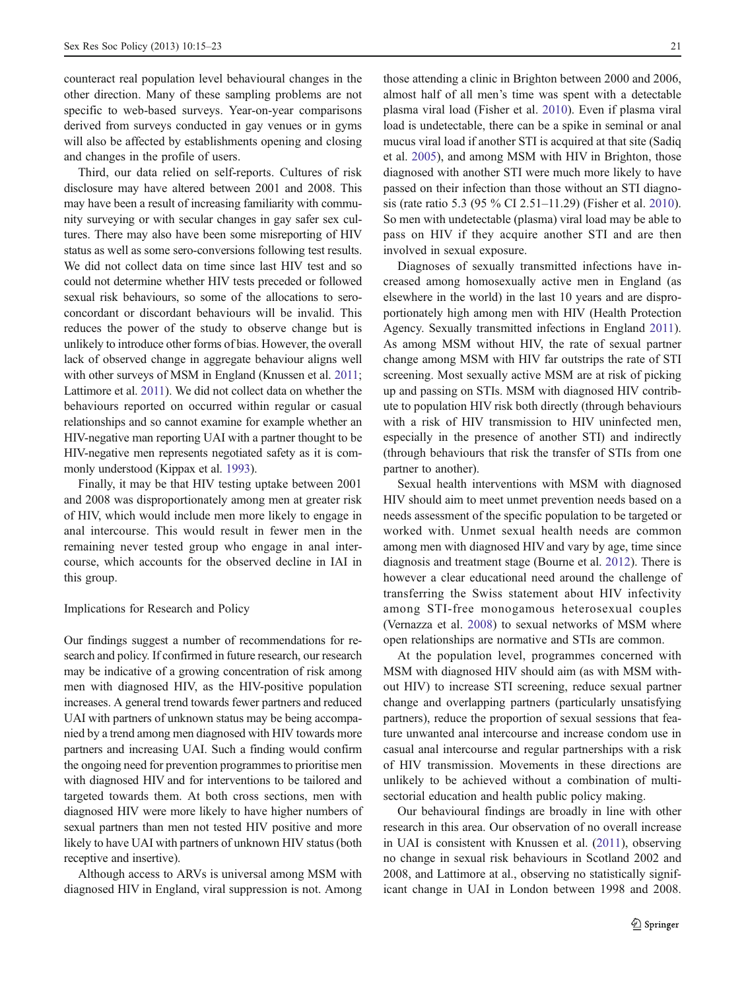counteract real population level behavioural changes in the other direction. Many of these sampling problems are not specific to web-based surveys. Year-on-year comparisons derived from surveys conducted in gay venues or in gyms will also be affected by establishments opening and closing and changes in the profile of users.

Third, our data relied on self-reports. Cultures of risk disclosure may have altered between 2001 and 2008. This may have been a result of increasing familiarity with community surveying or with secular changes in gay safer sex cultures. There may also have been some misreporting of HIV status as well as some sero-conversions following test results. We did not collect data on time since last HIV test and so could not determine whether HIV tests preceded or followed sexual risk behaviours, so some of the allocations to seroconcordant or discordant behaviours will be invalid. This reduces the power of the study to observe change but is unlikely to introduce other forms of bias. However, the overall lack of observed change in aggregate behaviour aligns well with other surveys of MSM in England (Knussen et al. [2011](#page-7-0); Lattimore et al. [2011\)](#page-7-0). We did not collect data on whether the behaviours reported on occurred within regular or casual relationships and so cannot examine for example whether an HIV-negative man reporting UAI with a partner thought to be HIV-negative men represents negotiated safety as it is commonly understood (Kippax et al. [1993\)](#page-7-0).

Finally, it may be that HIV testing uptake between 2001 and 2008 was disproportionately among men at greater risk of HIV, which would include men more likely to engage in anal intercourse. This would result in fewer men in the remaining never tested group who engage in anal intercourse, which accounts for the observed decline in IAI in this group.

#### Implications for Research and Policy

Our findings suggest a number of recommendations for research and policy. If confirmed in future research, our research may be indicative of a growing concentration of risk among men with diagnosed HIV, as the HIV-positive population increases. A general trend towards fewer partners and reduced UAI with partners of unknown status may be being accompanied by a trend among men diagnosed with HIV towards more partners and increasing UAI. Such a finding would confirm the ongoing need for prevention programmes to prioritise men with diagnosed HIV and for interventions to be tailored and targeted towards them. At both cross sections, men with diagnosed HIV were more likely to have higher numbers of sexual partners than men not tested HIV positive and more likely to have UAI with partners of unknown HIV status (both receptive and insertive).

Although access to ARVs is universal among MSM with diagnosed HIV in England, viral suppression is not. Among

those attending a clinic in Brighton between 2000 and 2006, almost half of all men's time was spent with a detectable plasma viral load (Fisher et al. [2010](#page-7-0)). Even if plasma viral load is undetectable, there can be a spike in seminal or anal mucus viral load if another STI is acquired at that site (Sadiq et al. [2005\)](#page-8-0), and among MSM with HIV in Brighton, those diagnosed with another STI were much more likely to have passed on their infection than those without an STI diagnosis (rate ratio 5.3 (95 % CI 2.51–11.29) (Fisher et al. [2010\)](#page-7-0). So men with undetectable (plasma) viral load may be able to pass on HIV if they acquire another STI and are then involved in sexual exposure.

Diagnoses of sexually transmitted infections have increased among homosexually active men in England (as elsewhere in the world) in the last 10 years and are disproportionately high among men with HIV (Health Protection Agency. Sexually transmitted infections in England [2011\)](#page-7-0). As among MSM without HIV, the rate of sexual partner change among MSM with HIV far outstrips the rate of STI screening. Most sexually active MSM are at risk of picking up and passing on STIs. MSM with diagnosed HIV contribute to population HIV risk both directly (through behaviours with a risk of HIV transmission to HIV uninfected men, especially in the presence of another STI) and indirectly (through behaviours that risk the transfer of STIs from one partner to another).

Sexual health interventions with MSM with diagnosed HIV should aim to meet unmet prevention needs based on a needs assessment of the specific population to be targeted or worked with. Unmet sexual health needs are common among men with diagnosed HIV and vary by age, time since diagnosis and treatment stage (Bourne et al. [2012\)](#page-7-0). There is however a clear educational need around the challenge of transferring the Swiss statement about HIV infectivity among STI-free monogamous heterosexual couples (Vernazza et al. [2008\)](#page-8-0) to sexual networks of MSM where open relationships are normative and STIs are common.

At the population level, programmes concerned with MSM with diagnosed HIV should aim (as with MSM without HIV) to increase STI screening, reduce sexual partner change and overlapping partners (particularly unsatisfying partners), reduce the proportion of sexual sessions that feature unwanted anal intercourse and increase condom use in casual anal intercourse and regular partnerships with a risk of HIV transmission. Movements in these directions are unlikely to be achieved without a combination of multisectorial education and health public policy making.

Our behavioural findings are broadly in line with other research in this area. Our observation of no overall increase in UAI is consistent with Knussen et al. [\(2011](#page-7-0)), observing no change in sexual risk behaviours in Scotland 2002 and 2008, and Lattimore at al., observing no statistically significant change in UAI in London between 1998 and 2008.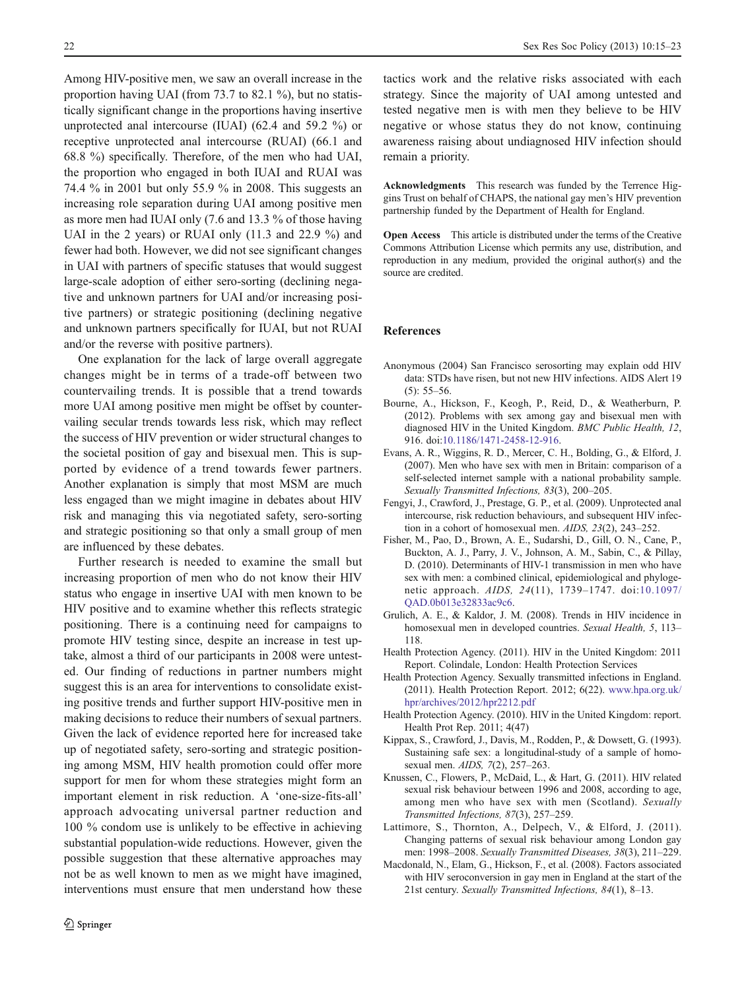<span id="page-7-0"></span>Among HIV-positive men, we saw an overall increase in the proportion having UAI (from 73.7 to 82.1 %), but no statistically significant change in the proportions having insertive unprotected anal intercourse (IUAI) (62.4 and 59.2 %) or receptive unprotected anal intercourse (RUAI) (66.1 and 68.8 %) specifically. Therefore, of the men who had UAI, the proportion who engaged in both IUAI and RUAI was 74.4 % in 2001 but only 55.9 % in 2008. This suggests an increasing role separation during UAI among positive men as more men had IUAI only (7.6 and 13.3 % of those having UAI in the 2 years) or RUAI only (11.3 and 22.9 %) and fewer had both. However, we did not see significant changes in UAI with partners of specific statuses that would suggest large-scale adoption of either sero-sorting (declining negative and unknown partners for UAI and/or increasing positive partners) or strategic positioning (declining negative and unknown partners specifically for IUAI, but not RUAI and/or the reverse with positive partners).

One explanation for the lack of large overall aggregate changes might be in terms of a trade-off between two countervailing trends. It is possible that a trend towards more UAI among positive men might be offset by countervailing secular trends towards less risk, which may reflect the success of HIV prevention or wider structural changes to the societal position of gay and bisexual men. This is supported by evidence of a trend towards fewer partners. Another explanation is simply that most MSM are much less engaged than we might imagine in debates about HIV risk and managing this via negotiated safety, sero-sorting and strategic positioning so that only a small group of men are influenced by these debates.

Further research is needed to examine the small but increasing proportion of men who do not know their HIV status who engage in insertive UAI with men known to be HIV positive and to examine whether this reflects strategic positioning. There is a continuing need for campaigns to promote HIV testing since, despite an increase in test uptake, almost a third of our participants in 2008 were untested. Our finding of reductions in partner numbers might suggest this is an area for interventions to consolidate existing positive trends and further support HIV-positive men in making decisions to reduce their numbers of sexual partners. Given the lack of evidence reported here for increased take up of negotiated safety, sero-sorting and strategic positioning among MSM, HIV health promotion could offer more support for men for whom these strategies might form an important element in risk reduction. A 'one-size-fits-all' approach advocating universal partner reduction and 100 % condom use is unlikely to be effective in achieving substantial population-wide reductions. However, given the possible suggestion that these alternative approaches may not be as well known to men as we might have imagined, interventions must ensure that men understand how these

tactics work and the relative risks associated with each strategy. Since the majority of UAI among untested and tested negative men is with men they believe to be HIV negative or whose status they do not know, continuing awareness raising about undiagnosed HIV infection should remain a priority.

Acknowledgments This research was funded by the Terrence Higgins Trust on behalf of CHAPS, the national gay men's HIV prevention partnership funded by the Department of Health for England.

Open Access This article is distributed under the terms of the Creative Commons Attribution License which permits any use, distribution, and reproduction in any medium, provided the original author(s) and the source are credited.

### References

- Anonymous (2004) San Francisco serosorting may explain odd HIV data: STDs have risen, but not new HIV infections. AIDS Alert 19 (5): 55–56.
- Bourne, A., Hickson, F., Keogh, P., Reid, D., & Weatherburn, P. (2012). Problems with sex among gay and bisexual men with diagnosed HIV in the United Kingdom. BMC Public Health, 12, 916. doi[:10.1186/1471-2458-12-916](http://dx.doi.org/10.1186/1471-2458-12-916).
- Evans, A. R., Wiggins, R. D., Mercer, C. H., Bolding, G., & Elford, J. (2007). Men who have sex with men in Britain: comparison of a self-selected internet sample with a national probability sample. Sexually Transmitted Infections, 83(3), 200–205.
- Fengyi, J., Crawford, J., Prestage, G. P., et al. (2009). Unprotected anal intercourse, risk reduction behaviours, and subsequent HIV infection in a cohort of homosexual men. AIDS, 23(2), 243–252.
- Fisher, M., Pao, D., Brown, A. E., Sudarshi, D., Gill, O. N., Cane, P., Buckton, A. J., Parry, J. V., Johnson, A. M., Sabin, C., & Pillay, D. (2010). Determinants of HIV-1 transmission in men who have sex with men: a combined clinical, epidemiological and phylogenetic approach. AIDS, 24(11), 1739–1747. doi:[10.1097/](http://dx.doi.org/10.1097/QAD.0b013e32833ac9c6) [QAD.0b013e32833ac9c6](http://dx.doi.org/10.1097/QAD.0b013e32833ac9c6).
- Grulich, A. E., & Kaldor, J. M. (2008). Trends in HIV incidence in homosexual men in developed countries. Sexual Health, 5, 113-118.
- Health Protection Agency. (2011). HIV in the United Kingdom: 2011 Report. Colindale, London: Health Protection Services
- Health Protection Agency. Sexually transmitted infections in England. (2011). Health Protection Report. 2012; 6(22). [www.hpa.org.uk/](http://www.hpa.org.uk/hpr/archives/2012/hpr2212.pdf) [hpr/archives/2012/hpr2212.pdf](http://www.hpa.org.uk/hpr/archives/2012/hpr2212.pdf)
- Health Protection Agency. (2010). HIV in the United Kingdom: report. Health Prot Rep. 2011; 4(47)
- Kippax, S., Crawford, J., Davis, M., Rodden, P., & Dowsett, G. (1993). Sustaining safe sex: a longitudinal-study of a sample of homosexual men. AIDS, 7(2), 257–263.
- Knussen, C., Flowers, P., McDaid, L., & Hart, G. (2011). HIV related sexual risk behaviour between 1996 and 2008, according to age, among men who have sex with men (Scotland). Sexually Transmitted Infections, 87(3), 257–259.
- Lattimore, S., Thornton, A., Delpech, V., & Elford, J. (2011). Changing patterns of sexual risk behaviour among London gay men: 1998–2008. Sexually Transmitted Diseases, 38(3), 211–229.
- Macdonald, N., Elam, G., Hickson, F., et al. (2008). Factors associated with HIV seroconversion in gay men in England at the start of the 21st century. Sexually Transmitted Infections, 84(1), 8–13.